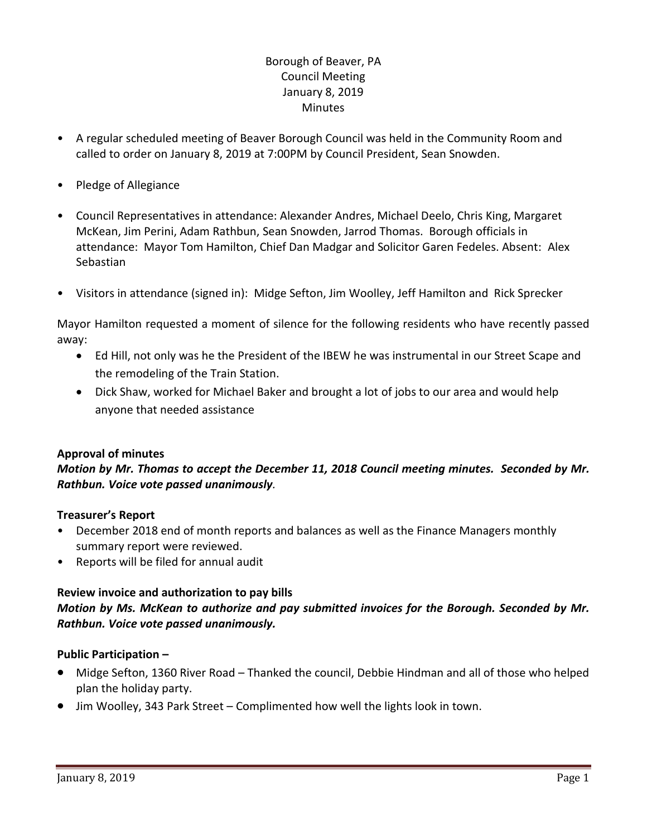# Borough of Beaver, PA Council Meeting January 8, 2019 **Minutes**

- A regular scheduled meeting of Beaver Borough Council was held in the Community Room and called to order on January 8, 2019 at 7:00PM by Council President, Sean Snowden.
- Pledge of Allegiance
- Council Representatives in attendance: Alexander Andres, Michael Deelo, Chris King, Margaret McKean, Jim Perini, Adam Rathbun, Sean Snowden, Jarrod Thomas. Borough officials in attendance: Mayor Tom Hamilton, Chief Dan Madgar and Solicitor Garen Fedeles. Absent: Alex Sebastian
- Visitors in attendance (signed in): Midge Sefton, Jim Woolley, Jeff Hamilton and Rick Sprecker

Mayor Hamilton requested a moment of silence for the following residents who have recently passed away:

- Ed Hill, not only was he the President of the IBEW he was instrumental in our Street Scape and the remodeling of the Train Station.
- Dick Shaw, worked for Michael Baker and brought a lot of jobs to our area and would help anyone that needed assistance

## **Approval of minutes**

## *Motion by Mr. Thomas to accept the December 11, 2018 Council meeting minutes. Seconded by Mr. Rathbun. Voice vote passed unanimously.*

## **Treasurer's Report**

- December 2018 end of month reports and balances as well as the Finance Managers monthly summary report were reviewed.
- Reports will be filed for annual audit

## **Review invoice and authorization to pay bills**

*Motion by Ms. McKean to authorize and pay submitted invoices for the Borough. Seconded by Mr. Rathbun. Voice vote passed unanimously.*

## **Public Participation –**

- Midge Sefton, 1360 River Road Thanked the council, Debbie Hindman and all of those who helped plan the holiday party.
- Jim Woolley, 343 Park Street Complimented how well the lights look in town.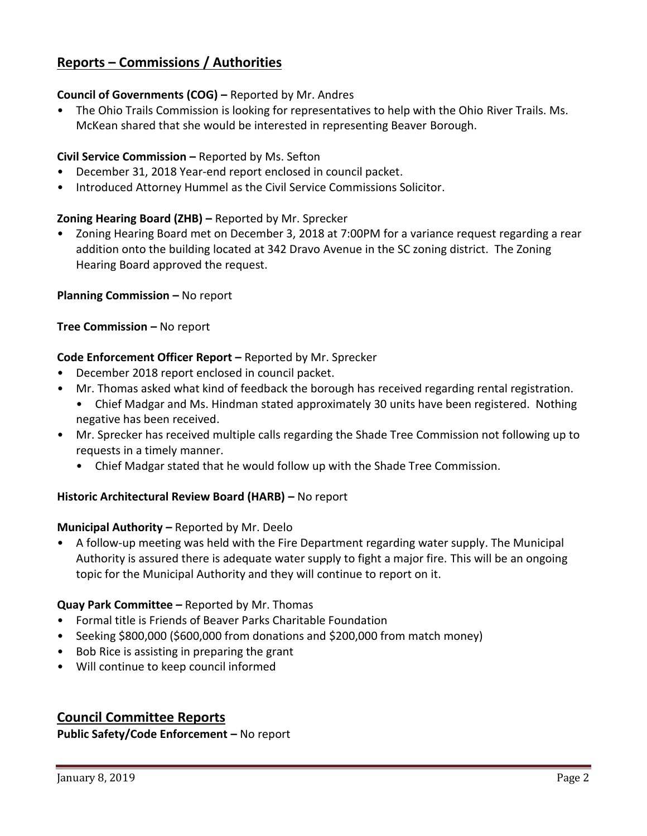# **Reports – Commissions / Authorities**

## **Council of Governments (COG) –** Reported by Mr. Andres

• The Ohio Trails Commission is looking for representatives to help with the Ohio River Trails. Ms. McKean shared that she would be interested in representing Beaver Borough.

## **Civil Service Commission –** Reported by Ms. Sefton

- December 31, 2018 Year-end report enclosed in council packet.
- Introduced Attorney Hummel as the Civil Service Commissions Solicitor.

## **Zoning Hearing Board (ZHB) –** Reported by Mr. Sprecker

• Zoning Hearing Board met on December 3, 2018 at 7:00PM for a variance request regarding a rear addition onto the building located at 342 Dravo Avenue in the SC zoning district. The Zoning Hearing Board approved the request.

## **Planning Commission –** No report

## **Tree Commission –** No report

## **Code Enforcement Officer Report –** Reported by Mr. Sprecker

- December 2018 report enclosed in council packet.
- Mr. Thomas asked what kind of feedback the borough has received regarding rental registration.
	- Chief Madgar and Ms. Hindman stated approximately 30 units have been registered. Nothing negative has been received.
- Mr. Sprecker has received multiple calls regarding the Shade Tree Commission not following up to requests in a timely manner.
	- Chief Madgar stated that he would follow up with the Shade Tree Commission.

## **Historic Architectural Review Board (HARB) –** No report

## **Municipal Authority –** Reported by Mr. Deelo

• A follow-up meeting was held with the Fire Department regarding water supply. The Municipal Authority is assured there is adequate water supply to fight a major fire. This will be an ongoing topic for the Municipal Authority and they will continue to report on it.

## **Quay Park Committee –** Reported by Mr. Thomas

- Formal title is Friends of Beaver Parks Charitable Foundation
- Seeking \$800,000 (\$600,000 from donations and \$200,000 from match money)
- Bob Rice is assisting in preparing the grant
- Will continue to keep council informed

## **Council Committee Reports**

**Public Safety/Code Enforcement –** No report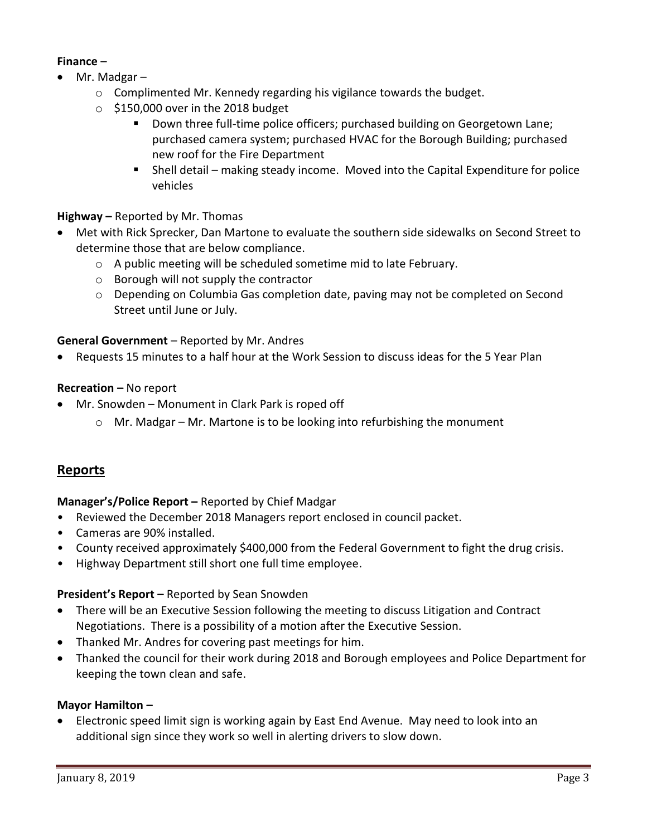## **Finance** –

- Mr. Madgar
	- o Complimented Mr. Kennedy regarding his vigilance towards the budget.
	- $\circ$  \$150,000 over in the 2018 budget
		- **Down three full-time police officers; purchased building on Georgetown Lane;** purchased camera system; purchased HVAC for the Borough Building; purchased new roof for the Fire Department
		- Shell detail making steady income. Moved into the Capital Expenditure for police vehicles

## **Highway –** Reported by Mr. Thomas

- Met with Rick Sprecker, Dan Martone to evaluate the southern side sidewalks on Second Street to determine those that are below compliance.
	- o A public meeting will be scheduled sometime mid to late February.
	- o Borough will not supply the contractor
	- o Depending on Columbia Gas completion date, paving may not be completed on Second Street until June or July.

## **General Government** – Reported by Mr. Andres

Requests 15 minutes to a half hour at the Work Session to discuss ideas for the 5 Year Plan

#### **Recreation –** No report

- Mr. Snowden Monument in Clark Park is roped off
	- $\circ$  Mr. Madgar Mr. Martone is to be looking into refurbishing the monument

# **Reports**

## **Manager's/Police Report –** Reported by Chief Madgar

- Reviewed the December 2018 Managers report enclosed in council packet.
- Cameras are 90% installed.
- County received approximately \$400,000 from the Federal Government to fight the drug crisis.
- Highway Department still short one full time employee.

## **President's Report –** Reported by Sean Snowden

- There will be an Executive Session following the meeting to discuss Litigation and Contract Negotiations. There is a possibility of a motion after the Executive Session.
- Thanked Mr. Andres for covering past meetings for him.
- Thanked the council for their work during 2018 and Borough employees and Police Department for keeping the town clean and safe.

#### **Mayor Hamilton –**

 Electronic speed limit sign is working again by East End Avenue. May need to look into an additional sign since they work so well in alerting drivers to slow down.